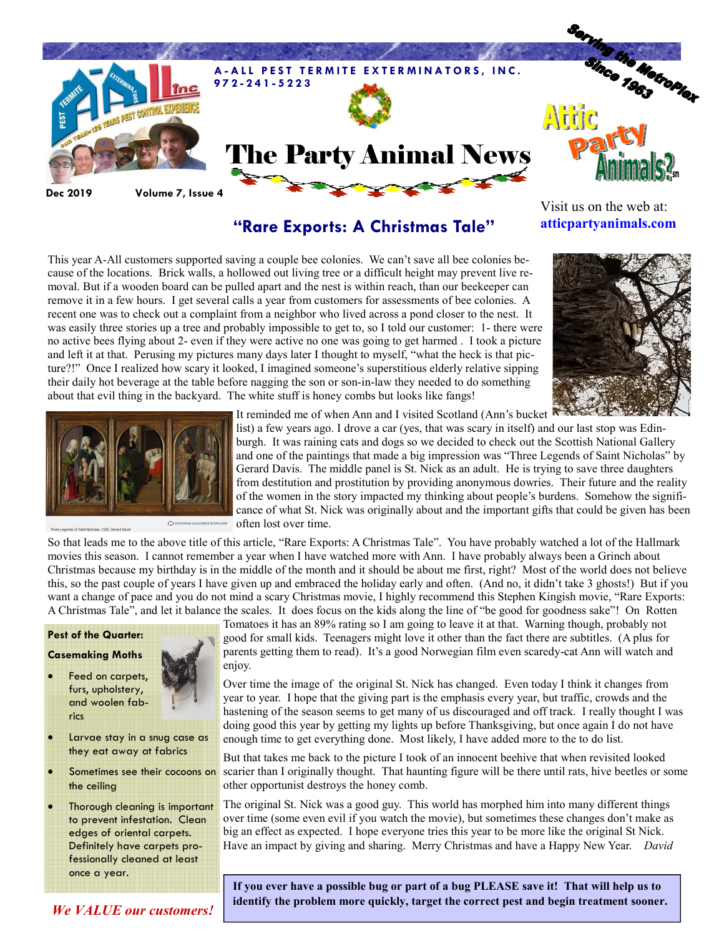

### "Rare Exports: A Christmas Tale"

Visit us on the web at: atticpartyanimals.com

This year A-All customers supported saving a couple bee colonies. We can't save all bee colonies because of the locations. Brick walls, a hollowed out living tree or a difficult height may prevent live removal. But if a wooden board can be pulled apart and the nest is within reach, than our beekeeper can remove it in a few hours. I get several calls a year from customers for assessments of bee colonies. A recent one was to check out a complaint from a neighbor who lived across a pond closer to the nest. It was easily three stories up a tree and probably impossible to get to, so I told our customer: 1- there were no active bees flying about 2- even if they were active no one was going to get harmed . I took a picture and left it at that. Perusing my pictures many days later I thought to myself, "what the heck is that picture?!" Once I realized how scary it looked, I imagined someone's superstitious elderly relative sipping their daily hot beverage at the table before nagging the son or son-in-law they needed to do something about that evil thing in the backyard. The white stuff is honey combs but looks like fangs!





It reminded me of when Ann and I visited Scotland (Ann's bucket

list) a few years ago. I drove a car (yes, that was scary in itself) and our last stop was Edinburgh. It was raining cats and dogs so we decided to check out the Scottish National Gallery and one of the paintings that made a big impression was "Three Legends of Saint Nicholas" by Gerard Davis. The middle panel is St. Nick as an adult. He is trying to save three daughters from destitution and prostitution by providing anonymous dowries. Their future and the reality of the women in the story impacted my thinking about people's burdens. Somehow the significance of what St. Nick was originally about and the important gifts that could be given has been often lost over time.

So that leads me to the above title of this article, "Rare Exports: A Christmas Tale". You have probably watched a lot of the Hallmark movies this season. I cannot remember a year when I have watched more with Ann. I have probably always been a Grinch about Christmas because my birthday is in the middle of the month and it should be about me first, right? Most of the world does not believe this, so the past couple of years I have given up and embraced the holiday early and often. (And no, it didn't take 3 ghosts!) But if you want a change of pace and you do not mind a scary Christmas movie, I highly recommend this Stephen Kingish movie, "Rare Exports: A Christmas Tale", and let it balance the scales. It does focus on the kids along the line of "be good for goodness sake"! On Rotten

## Pest of the Quarter:

#### Casemaking Moths

- Feed on carpets, furs, upholstery, and woolen fabrics
- 
- Larvae stay in a snug case as they eat away at fabrics
- Sometimes see their cocoons on the ceiling

Thorough cleaning is important to prevent infestation. Clean edges of oriental carpets. Definitely have carpets professionally cleaned at least once a year.

Tomatoes it has an 89% rating so I am going to leave it at that. Warning though, probably not good for small kids. Teenagers might love it other than the fact there are subtitles. (A plus for parents getting them to read). It's a good Norwegian film even scaredy-cat Ann will watch and enjoy.

Over time the image of the original St. Nick has changed. Even today I think it changes from year to year. I hope that the giving part is the emphasis every year, but traffic, crowds and the hastening of the season seems to get many of us discouraged and off track. I really thought I was doing good this year by getting my lights up before Thanksgiving, but once again I do not have enough time to get everything done. Most likely, I have added more to the to do list.

But that takes me back to the picture I took of an innocent beehive that when revisited looked scarier than I originally thought. That haunting figure will be there until rats, hive beetles or some other opportunist destroys the honey comb.

The original St. Nick was a good guy. This world has morphed him into many different things over time (some even evil if you watch the movie), but sometimes these changes don't make as big an effect as expected. I hope everyone tries this year to be more like the original St Nick. Have an impact by giving and sharing. Merry Christmas and have a Happy New Year. David

If you ever have a possible bug or part of a bug PLEASE save it! That will help us to identify the problem more quickly, target the correct pest and begin treatment sooner.

We VALUE our customers!